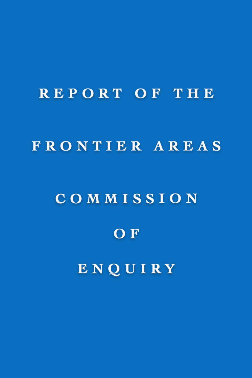# REPORT OF THE FRONTIER AREAS

## COMMISSION

## OF

## ENQUIRY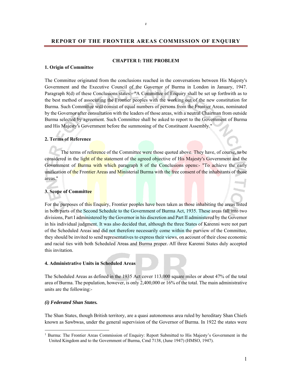#### **REPORT OF THE FRONTIER AREAS COMMISSION OF ENQUIRY**

#### **CHAPTER I: THE PROBLEM**

#### **1. Origin of Committee**

The Committee originated from the conclusions reached in the conversations between His Majesty's Government and the Executive Council of the Governor of Burma in London in January, 1947. Paragraph 8(d) of these Conclusions states:- "A Committee of Enquiry shall be set up forthwith as to the best method of associating the Frontier peoples with the working out of the new constitution for Burma. Such Committee will consist of equal numbers of persons from the Frontier Areas, nominated by the Governor after consultation with the leaders of those areas, with a neutral Chairman from outside Burma selected by agreement. Such Committee shall be asked to report to the Government of Burma and His Majesty's Government before the summoning of the Constituent Assembly."

#### **2. Terms of Reference**

The terms of reference of the Committee were those quoted above. They have, of course, to be considered in the light of the statement of the agreed objective of His Majesty's Government and the Government of Burma with which paragraph 8 of the Conclusions opens:- "To achieve the early unification of the Frontier Areas and Ministerial Burma with the free consent of the inhabitants of those areas."

#### **3. Scope of Committee**

For the purposes of this Enquiry, Frontier peoples have been taken as those inhabiting the areas listed in both parts of the Second Schedule to the Government of Burma Act, 1935. These areas fall into two divisions, Part I administered by the Governor in his discretion and Part II administered by the Governor in his individual judgment. It was also decided that, although the three States of Karenni were not part of the Scheduled Areas and did not therefore necessarily come within the purview of the Committee, they should be invited to send representatives to express their views, on account of their close economic and racial ties with both Scheduled Areas and Burma proper. All three Karenni States duly accepted this invitation.

#### **4. Administrative Units in Scheduled Areas**

The Scheduled Areas as defined in the 1935 Act cover 113,000 square miles or about 47% of the total area of Burma. The population, however, is only 2,400,000 or 16% of the total. The main administrative units are the following:-

#### *(i) Federated Shan States.*

 $\overline{a}$ 

The Shan States, though British territory, are a quasi autonomous area ruled by hereditary Shan Chiefs known as Sawbwas, under the general supervision of the Governor of Burma. In 1922 the states were

<sup>&</sup>lt;sup>1</sup> Burma: The Frontier Areas Commission of Enquiry: Report Submitted to His Majesty's Government in the United Kingdom and to the Government of Burma, Cmd 7138, (June 1947) (HMSO, 1947).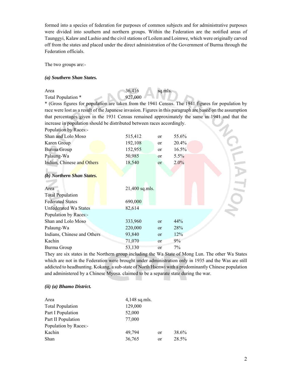formed into a species of federation for purposes of common subjects and for administrative purposes were divided into southern and northern groups. Within the Federation are the notified areas of Taunggyi, Kalaw and Lashio and the civil stations of Loilem and Loimwe, which were originally carved off from the states and placed under the direct administration of the Government of Burma through the Federation officials.

The two groups are:-

#### *(a) Southern Shan States.*

Area 36,416 sq.mls. Total Population \*

\* (Gross figures for population are taken from the 1941 Census. The 1941 figures for population by race were lost as a result of the Japanese invasion. Figures in this paragraph are based on the assumption that percentages given in the 1931 Census remained approximately the same in 1941 and that the increase in population should be distributed between races accordingly. Population by Races:

| 515,412        | <sub>or</sub> | 55.6%   |  |
|----------------|---------------|---------|--|
| 192,108        | or            | 20.4%   |  |
| 152,955        | <sub>or</sub> | 16.5%   |  |
| 50,985         | or            | $5.5\%$ |  |
| 18,540         | <sub>or</sub> | 2.0%    |  |
|                |               |         |  |
|                |               |         |  |
|                |               |         |  |
| 21,400 sq.mls. |               |         |  |
|                |               |         |  |
| 690,000        |               |         |  |
| 82,614         |               |         |  |
|                |               |         |  |
| 333,960        | or            | 44%     |  |
| 220,000        | or            | 28%     |  |
| 93,840         | or            | 12%     |  |
| 71,070         | or            | $9\%$   |  |
| 53,130         | or            | 7%      |  |
|                |               |         |  |

They are six states in the Northern group including the Wa State of Mong Lun. The other Wa States which are not in the Federation were brought under administration only in 1935 and the Was are still addicted to headhunting. Kokang, a sub-state of North Hsenwi with a predominantly Chinese population and administered by a Chinese Myosa. claimed to be a separate state during the war.

#### *(ii) (a) Bhamo District.*

| $4,148$ sq.mls. |    |       |
|-----------------|----|-------|
| 129,000         |    |       |
| 52,000          |    |       |
| 77,000          |    |       |
|                 |    |       |
| 49.794          | or | 38.6% |
| 36,765          | or | 28.5% |
|                 |    |       |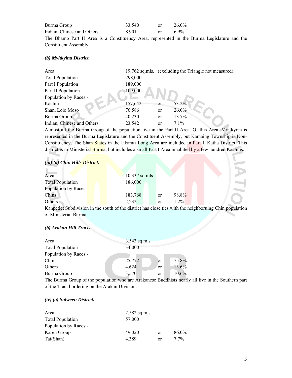| Burma Group                                                                                 | 33,540 | or | 26.0% |  |  |
|---------------------------------------------------------------------------------------------|--------|----|-------|--|--|
| Indian, Chinese and Others                                                                  | 8.901  | or | 6.9%  |  |  |
| The Bhamo Part II Area is a Constituency Area, represented in the Burma Legislature and the |        |    |       |  |  |
| Constituent Assembly.                                                                       |        |    |       |  |  |

#### *(b) Myitkyina District.*

| Area                       |         |               | 19,762 sq.mls. (excluding the Triangle not measured). |
|----------------------------|---------|---------------|-------------------------------------------------------|
| <b>Total Population</b>    | 298,000 |               |                                                       |
| Part I Population          | 189,000 |               |                                                       |
| Part II Population         | 109,000 |               |                                                       |
| Population by Races:-      |         |               |                                                       |
| Kachin                     | 157,642 | <b>or</b>     | 53.2%                                                 |
| Shan, Lolo Moso            | 76,586  | <sub>or</sub> | 26.0%                                                 |
| Burma Group                | 40,230  | <sub>or</sub> | 13.7%                                                 |
| Indian, Chinese and Others | 23,542  | <sub>or</sub> | $7.1\%$                                               |

Almost all the Burma Group of the population live in the Part II Area. Of this Area, Myitkyina is represented in the Burma Legislature and the Constituent Assembly, but Kamaing Township is Non-Constituency. The Shan States in the Hkamti Long Area are included in Part I. Katha District. This district is in Ministerial Burma, but includes a small Part I Area inhabited by a few hundred Kachins.

#### *(iii) (a) Chin Hills District.*

| Area                    | 10,337 sq.mls. |    |       |  |  |
|-------------------------|----------------|----|-------|--|--|
| <b>Total Population</b> | 186,000        |    |       |  |  |
| Population by Races:-   |                |    |       |  |  |
| Chins                   | 183,768        | or | 98.8% |  |  |
| Others 1                | 2,232          | or | 1.2%  |  |  |

Kanpetlet Subdivision in the south of the district has close ties with the neighboruing Chin population of Ministerial Burma.

#### *(b) Arakan Hill Tracts.*

| Area                    | $3,543$ sq.mls. |               |       |
|-------------------------|-----------------|---------------|-------|
| <b>Total Population</b> | 34,000          |               |       |
| Population by Races:-   |                 |               |       |
| Chin                    | 25,772          | <sub>or</sub> | 75.8% |
| Others                  | 4,624           | <sub>or</sub> | 13.6% |
| Burma Group             | 3,570           | <sub>or</sub> | 10.6% |

The Burma Group of the population who are Arakanese Buddhists nearly all live in the Southern part of the Tract bordering on the Arakan Division.

#### *(iv) (a) Salween District.*

| Area                    | $2,582$ sq.mls. |    |         |
|-------------------------|-----------------|----|---------|
| <b>Total Population</b> | 57,000          |    |         |
| Population by Races:-   |                 |    |         |
| Karen Group             | 49,020          | or | 86.0%   |
| Tai(Shan)               | 4.389           | or | $7.7\%$ |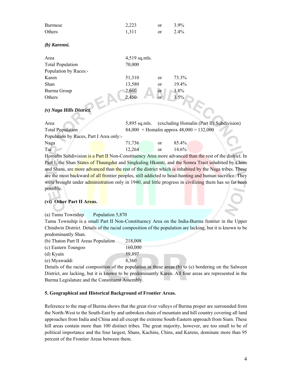| <b>Burmese</b>             | 2,223           | <sub>or</sub> | 3.9%    |
|----------------------------|-----------------|---------------|---------|
| Others                     | 1,311           | <sub>or</sub> | 2.4%    |
|                            |                 |               |         |
| $(b)$ Karenni.             |                 |               |         |
| Area                       | $4,519$ sq.mls. |               |         |
| <b>Total Population</b>    | 70,000          |               |         |
| Population by Races:-      |                 |               |         |
| Karen                      | 51,310          | <sub>or</sub> | 73.3%   |
| Shan                       | 13,580          | <sub>or</sub> | 19.4%   |
| Burma Group                | 2,660           | or            | 3.8%    |
| Others                     | 2,450           | <sub>or</sub> | $3.5\%$ |
|                            |                 |               |         |
| $(v)$ Naga Hills District. |                 |               |         |

| Area                                    |                                              |               | 5,895 sq.mls. (excluding Homalin (Part II) Subdivision) |  |  |  |
|-----------------------------------------|----------------------------------------------|---------------|---------------------------------------------------------|--|--|--|
| <b>Total Population</b>                 | $84,000 +$ Homalin approx $48,000 = 132,000$ |               |                                                         |  |  |  |
| Population by Races, Part I Area only:- |                                              |               |                                                         |  |  |  |
| Naga                                    | 71.736                                       | <sub>or</sub> | $85.4\%$                                                |  |  |  |
| Tai                                     | 12.264                                       | or            | $14.6\%$                                                |  |  |  |

Homalin Subdivision is a Part II Non-Constituency Area more advanced than the rest of the district. In Part I, the Shan States of Thaungdut and Singkaling Hkamti, and the Somra Tract inhabited by Chins and Shans, are more advanced than the rest of the district which is inhabited by the Naga tribes. These are the most backward of all frontier peoples, still addicted to head-hunting and human sacrifice. They were brought under administration only in 1940, and little progress in civilizing them has so far been possible.

#### **(vi) Other Part II Areas.**

(a) Tamu Township Population 5,870

Tamu Township is a small Part II Non-Constituency Area on the India-Burma frontier in the Upper Chindwin District. Details of the racial composition of the population are lacking, but it is known to be predominantly Shan.

Details of the racial composition of the population in these areas (b) to (e) bordering on the Salween District, are lacking, but it is known to be predominantly Karen. All four areas are represented in the Burma Legislature and the Constituent Assembly.

#### **5. Geographical and Historical Background of Frontier Areas.**

Reference to the map of Burma shows that the great river valleys of Burma proper are surrounded from the North-West to the South-East by and unbroken chain of mountain and hill country covering all land approaches from India and China and all except the extreme South-Eastern approach from Siam. These hill areas contain more than 100 distinct tribes. The great majority, however, are too small to be of political importance and the four largest, Shans, Kachins, Chins, and Karens, dominate more than 95 percent of the Frontier Areas between them.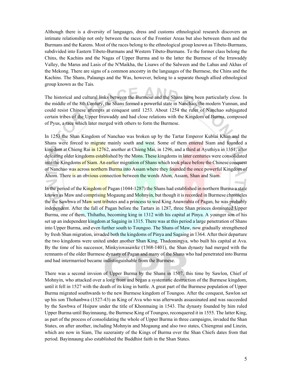Although there is a diversity of languages, dress and customs ethnological research discovers an intimate relationship not only between the races of the Frontier Areas but also between them and the Burmans and the Karens. Most of the races belong to the ethnological group known as Tibeto-Burmans, subdivided into Eastern Tibeto-Burmans and Western Tibeto-Burmans. To the former class belong the Chins, the Kachins and the Nagas of Upper Burma and to the latter the Burmese of the Irrawaddy Valley, the Marus and Lasis of the N'Maikha, the Lisaws of the Salween and the Lahus and Akhas of the Mekong. There are signs of a common ancestry in the languages of the Burmese, the Chins and the Kachins. The Shans, Palaungs and the Was, however, belong to a separate though allied ethnological group known as the Tais.

The historical and cultural links between the Burmese and the Shans have been particularly close. In the middle of the 8th Century, the Shans formed a powerful state in Nanchao, the modern Yunnan, and could resist Chinese attempts at conquest until 1253. About 1254 the ruler of Nanchao subjugated certain tribes of the Upper Irrawaddy and had close relations with the Kingdom of Burma, composed of Pyus, a race which later merged with others to form the Burmese.

In 1253 the Shan Kingdom of Nanchao was broken up by the Tartar Emperor Kublai Khan and the Shans were forced to migrate mainly south and west. Some of them entered Siam and founded a kingdom at Chieng Rai in 12762, another at Chieng Mai, in 1296, and a third at Ayuthiya in 1351, after defeating older kingdoms established by the Mons. These kingdoms in later centuries were consolidated into the Kingdoms of Siam. An earlier migration of Shans which took place before the Chinese conquest of Nanchao was across northern Burma into Assam where they founded the once powerful Kingdom of Ahom. There is an obvious connection between the words Ahon, Assam, Shan and Siam.

In the period of the Kingdom of Pagan (1044-1287) the Shans had established in northern Burma a state known as Maw and comprising Mogaung and Mohnyin, but though it is recorded in Burmese chronicles the the Sawbwa of Maw sent tributes and a princess to wed King Anawrahta of Pagan, he was probably independent. After the fall of Pagan before the Tartars in 1287, three Shan princes dominated Upper Burma, one of them, Thihathu, becoming king in 1312 with his capital at Pinya. A younger son of his set up an independent kingdom at Sagaing in 1315. There was at this period a large penetration of Shans into Upper Burma, and even further south to Toungoo. The Shans of Maw, now gradually strengthened by fresh Shan migration, invaded both the kingdoms of Pinya and Sagaing in 1364. After their departure the two kingdoms were united under another Shan King, Thadomingya, who built his capital at Ava. By the time of his successor, Minkyiswasawke (1368-1401), the Shan dynasty had merged with the remnants of the older Burmese dynasty of Pagan and many of the Shans who had penetrated into Burma and had intermarried became indistinguishable from the Burmese.

There was a second invsion of Upper Burma by the Shans in 1507, this time by Sawlon, Chief of Mohnyin, who attacked over a long front and began a systematic destruction of the Burmese kingdom, until it fell in 1527 with the death of its king in battle. A great part of the Burmese population of Upper Burma migrated southwards to the new Burmese kingdom of Toungoo. After the conquest, Sawlon set up his son Thohanbwa (1527-43) as King of Ava who was afterwards assassinated and was succeeded by the Sawbwa of Hsipaw under the title of Khonmaing in 1543. The dynasty founded by him ruled Upper Burma until Bayinnaung, the Burmese King of Toungoo, reconquered it in 1555. The latter King, as part of the process of consolidating the whole of Upper Burma in three campaigns, invaded the Shan States, on after another, including Mohnyin and Mogaung and also two states, Chiengmai and Linzin, which are now in Siam, The suzerainty of the Kings of Burma over the Shan Chiefs dates from that period. Bayinnaung also established the Buddhist faith in the Shan States.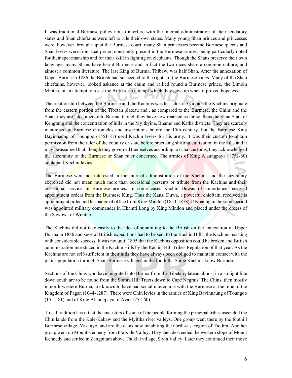It was traditional Burmese policy not to interfere with the internal administration of their feudatory states and Shan chieftains were left to rule their own states. Many young Shan princes and princesses were, however, brought up at the Burmese court, many Shan princesses became Burmese queens and Shan levies were from that period constantly present in the Burmese armies, being particularly noted for their spearmanship and for their skill in fighting on elephants. Though the Shans preserve their own language, many Shans have learnt Burmese and in fact the two races share a common culture, and almost a common literature. The last King of Burma, Thibaw, was half Shan. After the annexation of Upper Burma in 1886 the British had succeeded to the rights of the Burmese kings. Many of the Shan chieftains, however, looked askance at the claim and rallied round a Burmese prince, the Limbin Mintha, in an attempt to resist the British, an attempt which they gave up when it proved hopeless.

The relationship between the Burmese and the Kachins was less close. As a race the Kachins originate from the eastern portion of the Tibetan plateau and , as compared to the Burmese, the Chins and the Shan, they are latecomers into Burma, though they have now reached as far south as the Shan State of Kengtung and the concentration of hills in the Myitkyina, Bhamo and Katha districts. They are scarcely mentioned in Burmese chronicles and inscriptions before the 15th century, but the Burmese King Bayinnaung of Toungoo (1551-81) used Kachin levies for his army. It was their custom to obtain permission from the ruler of the country or state before practising shifting cultivation in the hills and it may be assumed that, though they governed themselves according to tribal customs, they acknowledged the suzerainty of the Burmese or Shan ruler concerned. The armies of King Alaungpaya (1752-60) contained Kachin levies.

The Burmese were not interested in the internal administration of the Kachins and the suzerainty exercised did not mean much more than occasional persents or tribute from the Kachins and their occasional service in Burmese armies. In some cases Kachin Duwas of importance received appointment orders from the Burmese King. Thus the Kansi Duwa, a powerful chieftain, received his appointment order and his badge of office from King Mindon (1853-1878) U Khaung in the same period was appointed military commander in Hkamti Long by King Mindon and placed under the orders of the Sawbwa of Wuntho.

The Kachins did not take easily to the idea of submitting to the British on the annexation of Upper Burma in 1886 and several British expeditions had to be sent to the Kachin Hills, the Kachins resisting with considerable success. It was not until 1895 that the Kachins opposition could be broken and British administration introduced in the Kachin Hills by the Kachin Hill Tribes Regulation of that year. As the Kachins are not self-sufficient in their hills they have always been obliged to maintain contact with the plains population through Shan-Burmese villages in the foothills. Some Kachins know Burmese.

Sections of the Chins who have migrated into Burma from the Tibetan plateau almost in a straight line down south are to be found from the Somra Hill Tracts down to Cape Negrais. The Chins, then mostly in north-western Burma, are known to have had social intercourse with the Burmese at the time of the Kingdom of Pagan (1044-1287). There were Chin levies in the armies of King Bayinnaung of Toungoo (1551-81) and of King Alaungpaya of Ava (1752-60).

 Local tradition has it that the ancestors of some of the people forming the principal tribes ascended the Chin lands from the Kale-Kabaw and the Myittha river valleys. One group went there by the foothill Burmese village, Yazagyo, and are the clans now inhabiting the north-east region of Tiddim. Another group went up Mount Kennedy from the Kale Valley. They then descended the western slope of Mount Kennedy and settled in Zangpitam above Thuklai village, Siyin Valley. Later they continued their move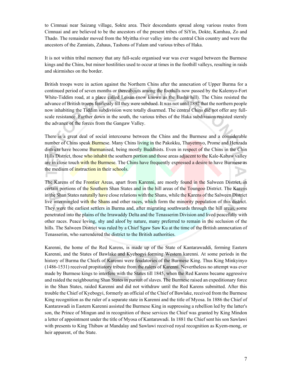to Cimnuai near Saizang village, Sokte area. Their descendants spread along various routes from Cimnuai and are believed to be the ancestors of the present tribes of SiYin, Dokte, Kamhau, Zo and Thado. The remainder moved from the Myittha river valley into the central Chin country and were the ancestors of the Zanniats, Zahaus, Tashons of Falam and various tribes of Haka.

It is not within tribal memory that any full-scale organised war was ever waged between the Burmese kings and the Chins, but minor hostilities used to occur at times in the foothill valleys, resulting in raids and skirmishes on the border.

British troops were in action against the Northern Chins after the annexation of Upper Burma for a continued period of seven months or thereabouts among the foothills now passed by the Kalemyo-Fort White-Tiddim road, at a place called Leisan (now known as the Basha hill). The Chins resisted the advance of British troops fearlessly till they were subdued. It was not until 1892 that the northern people now inhabiting the Tiddim subdivision were totally disarmed. The central Chins did not offer any fullscale resistance. Further down in the south, the various tribes of the Haka subdivision resisted sternly the advance of the forces from the Gangaw Valley.

There is a great deal of social intercourse between the Chins and the Burmese and a considerable number of Chins speak Burmese. Many Chins living in the Pakokku, Thayetmyo, Prome and Henzada districts have become Burmanised, being mostly Buddhists. Even in respect of the Chins in the Chin Hills District, those who inhabit the southern portion and those areas adjacent to the Kale-Kabaw valley are in close touch with the Burmese. The Chins have frequently expressed a desire to have Burmese as the medium of instruction in their schools.

The Karens of the Frontier Areas, apart from Karenni, are mostly found in the Salween District, in certain portions of the Southern Shan States and in the hill areas of the Toungoo District. The Karens in the Shan States naturally have close relations with the Shans, while the Karens of the Salween District live intermingled with the Shans and other races, which form the minority population of this district. They were the earliest settlers in Burma and, after migrating southwards through the hill areas, some penetrated into the plains of the Irrawaddy Delta and the Tenasserim Division and lived peacefully with other races. Peace loving, shy and aloof by nature, many preferred to remain in the seclusion of the hills. The Salween District was ruled by a Chief Sgaw Saw Ku at the time of the British annnexation of Tenasserim, who surrendered the district to the British authorities.

Karenni, the home of the Red Karens, is made up of the State of Kantarawaddi, forming Eastern Karenni, and the States of Bawlake and Kyebogyi forming Western karenni. At some periods in the history of Burma the Chiefs of Karenni were feudatories of the Burmese King. Thus King Minkyinyo (1486-1531) received propitiatory tribute from the rulers of Karenni. Nevertheless no attempt was ever made by Burmese kings to interfere with the States till 1845, when the Red Karens became aggressive and raided the neighbouring Shan States in pursuit of slaves. The Burmese raised an expeditionary force in the Shan States, raided Karenni and did not withdraw until the Red Karens submitted. After this trouble the Chief of Kyebogyi, formerly an official of the Chief of Bawlake, received from the Burmese King recognition as the ruler of a separate state in Karenni and the title of Myosa. In 1886 the Chief of Kantarawadi in Eastern Karenni assisted the Burmese King in suppressing a rebellion led by the latter's son, the Prince of Mingun and in recognition of these services the Chief was granted by King Mindon a letter of appointment under the title of Myosa of Kantarawadi. In 1881 the Chief sent his son Sawlawi with presents to King Thibaw at Mandalay and Sawlawi received royal recognition as Kyem-mong, or heir apparent, of the State.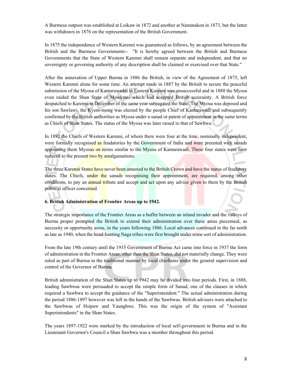A Burmese outpost was established at Loikaw in 1872 and another at Nammakon in 1873, but the latter was withdrawn in 1876 on the representation of the British Government.

In 1875 the independence of Western Karenni was guaranteed as follows, by an agreement between the British and the Burmese Governments:- "It is hereby agreed between the British and Burmese Governments that the State of Western Karenni shall remain separate and independent, and that no sovereignty or governing authority of any description shall be claimed or exercised over that State."

After the annexation of Upper Burma in 1886 the British, in view of the Agreement of 1875, left Western Karenni alone for some time. An attempt made in 1887 by the British to secure the peaceful submission of the Myosa of Kantarawaddi in Eastern Karenni was unsuccessful and in 1888 the Myosa even raided the Shan State of Mawkmai which had accepted British suzerainty. A British force despatched to Karenni in December of the same year subjugated the State. The Myosa was deposed and his son Sawlawi, the Kyem-mong was elected by the people Chief of Kantarawadi and subsequently confirmed by the British authorities as Myosa under a sanad or patent of appointment in the same terms as Chiefs of Shan States. The status of the Myosa was later raised to that of Sawbwa.

In 1892 the Chiefs of Western Karenni, of whom there were four at the time, nominally independent, were formally recognised as feudatories by the Government of India and were preented with sanads appointing them Myosas on terms similar to the Myosa of Kantarawadi. These four states were later reduced to the present two by amalgamations.

The three Karenni States have never been annexed to the British Crown and have the status of feudatory states. The Chiefs, under the sanads recognising their appointment, are required, among other conditions, to pay an annual tribute and accept and act upon any advice given to them by the British political officer concerned.

#### **6. British Administration of Frontier Areas up to 1942.**

The strategic importance of the Frontier Areas as a buffer between an inland invader and the valleys of Burma proper prompted the British to extend their administration over these areas piecemeal, as necessity or opportunity arose, in the years following 1886. Local advances continued in the far north as late as 1940, when the head-hunting Naga tribes were first brought under some sort of administration.

From the late 19th century until the 1935 Government of Burma Act came into force in 1937 the form of administration in the Frontier Areas, other than the Shan States, did not materially change. They were ruled as part of Burma in the traditional manner by local chieftains under the general supervision and control of the Governor of Burma.

British administration of the Shan States up to 1942 may be divided into four periods. First, in 1888, leading Sawbwas were persuaded to accept the simple form of Sanad, one of the clauses in which required a Sawbwa to accept the guidance of the "Superintendent." The actual administration during the period 1886-1897 however was left in the hands of the Sawbwas. British advisers were attached to the Sawbwas of Hsipaw and Yaunghwe. This was the origin of the system of "Assistant Superintendents" in the Shan States.

The years 1897-1922 were marked by the introduction of local self-government in Burma and in the Lieutenant Governor's Council a Shan Sawbwa was a member throughout this period.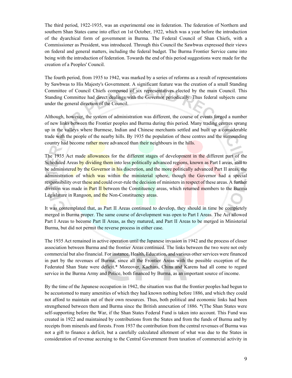The third period, 1922-1935, was an experimental one in federation. The federation of Northern and southern Shan States came into effect on 1st October, 1922, which was a year before the introduction of the dyarchical form of government in Burma. The Federal Council of Shan Chiefs, with a Commissioner as President, was introduced. Through this Council the Sawbwas expressed their views on federal and general matters, including the federal budget. The Burma Frontier Service came into being with the introduction of federation. Towards the end of this period suggestions were made for the creation of a Peoples' Council.

The fourth period, from 1935 to 1942, was marked by a series of reforms as a result of representations by Sawbwas to His Majesty's Government. A significant feature was the creation of a small Standing Committee of Council Chiefs composed of six representatives elected by the main Council. This Standing Committee had direct dealings with the Governor periodically. Thus federal subjects came under the general direction of the Council.

Although, however, the system of administration was different, the course of events forged a number of new links between the Frontier peoples and Burma during this period. Many trading centres sprang up in the valleys where Burmese, Indian and Chinese merchants settled and built up a considerable trade with the people of the nearby hills. By 1935 the population of these centres and the surrounding country had become rather more advanced than their neighbours in the hills.

The 1935 Act made allowances for the different stages of development in the different part of the Scheduled Areas by dividing them into less politically advanced regions, known as Part I areas, still to be administered by the Governor in his discretion, and the more politically advanced Part II areas, the administration of which was within the ministerial sphere, though the Governor had a special responsibility over these and could over-rule the decision of ministers in respect of these areas. A further division was made in **Part II b**etween the Constituency areas, which returned members to the Burma Legislature in Rangoon, and the Non-Constituency areas.

It was contemplated that, as Part II Areas continued to develop, they should in time be completely merged in Burma proper. The same course of development was open to Part I Areas. The Act allowed Part I Areas to become Part II Areas, as they matured, and Part II Areas to be merged in Ministerial Burma, but did not permit the reverse process in either case.

The 1935 Act remained in active operation until the Japanese invasion in 1942 and the process of closer association between Burma and the frontier Areas continued. The links between the two were not only commercial but also financial. For instance, Health, Education, and various other services were financed in part by the revenues of Burma, since all the Frontier Areas with the possible exception of the Federated Shan State were deficit.\* Moreover, Kachins, Chins and Karens had all come to regard service in the Burma Army and Police, both financed by Burma, as an important source of income.

By the time of the Japanese occupation in 1942, the situation was that the frontier peoples had begun to be accustomed to many amenities of which they had known nothing before 1886, and which they could not afford to maintain out of their own resources. Thus, both political and economic links had been strengthened between them and Burma since the British annexation of 1886. \*(The Shan States were self-supporting before the War, if the Shan States Federal Fund is taken into account. This Fund was created in 1922 and maintained by contributions from the States and from the funds of Burma and by receipts from minerals and forests. From 1937 the contribution from the central revenues of Burma was not a gift to finance a deficit, but a carefully calculated allotment of what was due to the States in consideration of revenue accruing to the Central Government from taxation of commercial activity in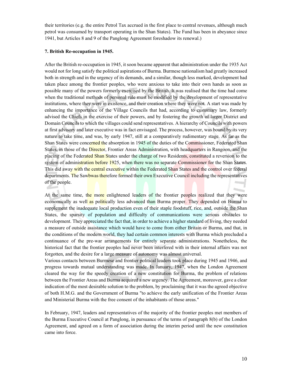their territories (e.g. the entire Petrol Tax accrued in the first place to central revenues, although much petrol was consumed by transport operating in the Shan States). The Fund has been in abeyance since 1941, but Articles 8 and 9 of the Panglong Agreement foreshadow its renewal.)

#### **7. British Re-occupation in 1945.**

After the British re-occupation in 1945, it soon became apparent that administration under the 1935 Act would not for long satisfy the political aspirations of Burma. Burmese nationalism had greatly increased both in strength and in the urgency of its demands, and a similar, though less marked, development had taken place among the frontier peoples, who were anxious to take into their own hands as soon as possible many of the powers formerly exercised by the British. It was realised that the time had come when the traditional methods of personal rule must be modified by the development of representative institutions, where they were in existence, and their creation where they were not. A start was made by enhancing the importance of the Village Councils that had, according to customary law, formerly advised the Chiefs in the exercise of their powers, and by fostering the growth of larger District and Domain Councils to which the villages could send representatives. A hierarchy of Councils with powers at first advisory and later executive was in fact envisaged. The process, however, was bound by its very nature to take time, and was, by early 1947, still at a comparatively rudimentary stage. As far as the Shan States were concerned the absorption in 1945 of the duties of the Commissioner, Federated Shan States, in those of the Director, Frontier Areas Administration, with headquarters in Rangoon, and the placing of the Federated Shan States under the charge of two Residents, constituted a reversion to the system of administration before 1925, when there was no separate Commissioner for the Shan States. This did away with the central executive within the Federated Shan States and the control over federal departments. The Sawbwas therefore formed their own Executive Council including the representatives of the people.

At the same time, the more enlightened leaders of the frontier peoples realized that they were economically as well as politically less advanced than Burma proper. They depended on Burma to supplement the inadequate local production even of their staple foodstuff, rice, and, outside the Shan States, the sparsity of population and difficulty of communications were serious obstacles to development. They appreciated the fact that, in order to achieve a higher standard of living, they needed a measure of outside assistance which would have to come from either Britain or Burma, and that, in the conditions of the modern world, they had certain common interests with Burma which precluded a continuance of the pre-war arrangements for entirely separate administrations. Nonetheless, the historical fact that the frontier peoples had never been interfered with in their internal affairs was not forgotten, and the desire for a large measure of autonomy was almost universal.

Various contacts between Burmese and frontier political leaders took place during 1945 and 1946, and progress towards mutual understanding was made. In January, 1947, when the London Agreement cleared the way for the speedy creation of a new constitution for Burma, the problem of relations between the Frontier Areas and Burma acquired a new urgency. The Agreement, moreover, gave a clear indication of the most desirable solution to the problem, by proclaiming that it was the agreed objective of both H.M.G. and the Government of Burma "to achieve the early unification of the Frontier Areas and Ministerial Burma with the free consent of the inhabitants of those areas."

In February, 1947, leaders and representatives of the majority of the frontier peoples met members of the Burma Executive Council at Panglong, in pursuance of the terms of paragraph 8(b) of the London Agreement, and agreed on a form of association during the interim period until the new constitution came into force.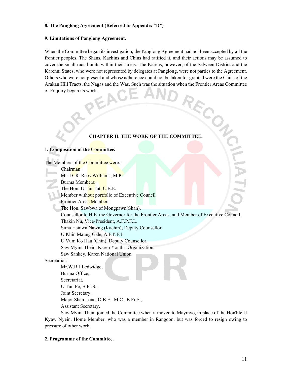#### **8. The Panglong Agreement (Referred to Appendix "D")**

#### **9. Limitations of Panglong Agreement.**

When the Committee began its investigation, the Panglong Agreement had not been accepted by all the frontier peoples. The Shans, Kachins and Chins had ratified it, and their actions may be assumed to cover the small racial units within their areas. The Karens, however, of the Salween District and the Karenni States, who were not represented by delegates at Panglong, were not parties to the Agreement. Others who were not present and whose adherence could not be taken for granted were the Chins of the Arakan Hill Tracts, the Nagas and the Was. Such was the situation when the Frontier Areas Committee of Enquiry began its work. FORK.<br> **CHAPTER II. THE WORK OF THE COMMITTEE.** 

#### **1. Composition of the Committee.**

The Members of the Committee were:-

Chairman:

Mr. D. R. Rees-Williams, M.P.

Burma Members:

The Hon. U Tin Tut, C.B.E.

Member without portfolio of Executive Council.

**Frontier Areas Members:** 

The Hon. Sawbwa of Mongpawn(Shan),

Counsellor to H.E. the Governor for the Frontier Areas, and Member of Executive Council.

Thakin Nu, Vice-President, A.F.P.F.L.

Sima Hsinwa Nawng (Kachin), Deputy Counsellor.

U Khin Maung Gale, A.F.P.F.L

U Vum Ko Hau (Chin), Deputy Counsellor.

Saw Myint Thein, Karen Youth's Organization.

Saw Sankey, Karen National Union.

Secretariat:

 Mr.W.B.J.Ledwidge, Burma Office, Secretariat. U Tun Pe, B.Fr.S., Joint Secretary. Major Shan Lone, O.B.E., M.C., B.Fr.S., Assistant Secretary.

Saw Myint Thein joined the Committee when it moved to Maymyo, in place of the Hon'ble U Kyaw Nyein, Home Member, who was a member in Rangoon, but was forced to resign owing to pressure of other work.

#### **2. Programme of the Committee.**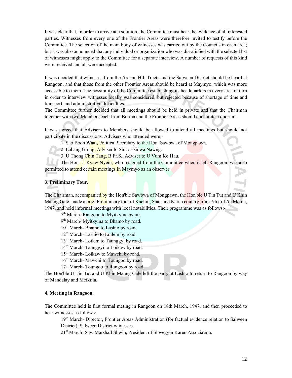It was clear that, in order to arrive at a solution, the Committee must hear the evidence of all interested parties. Witnesses from every one of the Frontier Areas were therefore invited to testify before the Committee. The selection of the main body of witnesses was carried out by the Councils in each area; but it was also announced that any individual or organization who was dissatisfied with the selected list of witnesses might apply to the Committee for a separate interview. A number of requests of this kind were received and all were accepted.

It was decided that witnesses from the Arakan Hill Tracts and the Salween District should be heard at Rangoon, and that those from the other Frontier Areas should be heard at Maymyo, which was more accessible to them. The possibility of the Committee establishing its headquarters in every area in turn in order to interview witnesses locally was considered, but rejected because of shortage of time and transport, and administrative difficulties.

The Committee further decided that all meetings should be held in private and that the Chairman together with two Members each from Burma and the Frontier Areas should constitute a quorum.

It was agreed that Advisers to Members should be allowed to attend all meetings but should not participate in the discussions. Advisers who attended were:-

1. Sao Boon Waat, Political Secretary to the Hon. Sawbwa of Mongpawn.

2. Labang Grong, Adviser to Sima Hsinwa Nawng.

3. U Thong Chin Tang, B.Fr.S., Adviser to U Vum Ko Hau.

The Hon. U Kyaw Nyein, who resigned from the Committee when it left Rangoon, was also permitted to attend certain meetings in Maymyo as an observer.

**3. Preliminary Tour.** 

The Chairman, accompanied by the Hon'ble Sawbwa of Mongpawn, the Hon'ble U Tin Tut and U Khin Maung Gale, made a brief Preliminary tour of Kachin, Shan and Karen country from 7th to 17th March, 1947, and held informal meetings with local notabilities. Their programme was as follows:-

7<sup>th</sup> March- Rangoon to Myitkyina by air.

9<sup>th</sup> March- Myitkyina to Bhamo by road.

10<sup>th</sup> March- Bhamo to Lashio by road.

 $12<sup>th</sup>$  March- Lashio to Loilem by road.

13<sup>th</sup> March- Loilem to Taunggyi by road.

14<sup>th</sup> March- Taunggyi to Loikaw by road.

15<sup>th</sup> March- Loikaw to Mawchi by road.

16<sup>th</sup> March- Mawchi to Toungoo by road.

17<sup>th</sup> March- Toungoo to Rangoon by road.

The Hon'ble U Tin Tut and U Khin Maung Gale left the party at Lashio to return to Rangoon by way of Mandalay and Meiktila.

#### **4. Meeting in Rangoon.**

The Committee held is first formal meting in Rangoon on 18th March, 1947, and then proceeded to hear witnesses as follows:

19<sup>th</sup> March- Director, Frontier Areas Administration (for factual evidence relation to Salween District). Salween District witnesses.

21<sup>st</sup> March- Saw Marshall Shwin, President of Shwegyin Karen Association.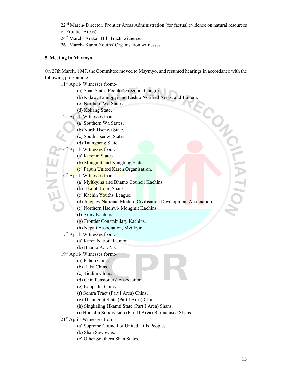22<sup>nd</sup> March- Director, Frontier Areas Administration (for factual evidence on natural resources of Frontier Areas).

24<sup>th</sup> March- Arakan Hill Tracts witnesses.

26th March- Karen Youths' Organisation witnesses.

#### **5. Meeting in Maymyo.**

On 27th March, 1947, the Committee moved to Maymyo, and resumed hearings in accordance with the following programme:-

ECON

11th April- Witnesses from:-

(a) Shan States Peoples' Freedom Congress.

(b) Kalaw, Taunggyi and Lashio Notified Areas, and Loilem.

(c) Northern Wa States.

(d) Kokang State.

12<sup>th</sup> April- Witnesses from:-

(a) Southern Wa States.

(b) North Hsenwi State.

(c) South Hsenwi State.

(d) Taungpeng State.

14<sup>th</sup> April- Witnesses from:-

(a) Karenni States.

(b) Mongmit and Kengtung States.

(c) Papun United Karen Organisation.

(a) Natelini states.<br>
(b) Mongmit and Ke<br>
(c) Papun United Ka<br>
16<sup>th</sup> April- Witnesses from:<br>
(a) Myitkyina and B

(a) Mvitkyina and Bhamo Council Kachins.

(b) Hkamti Long Shans.

(c) Kachin Youths' League.

(d) Jingpaw National Modern Civilisation Development Association.

(e) Northern Hsenwi- Mongmit Kachins.

(f) Army Kachins.

(g) Frontier Constabulary Kachins.

(h) Nepali Association, Myitkyina.

17<sup>th</sup> April- Witnesses from:-

(a) Karen National Union.

(b) Bhamo A.F.P.F.L.

19<sup>th</sup> April- Witnesses form:-

(a) Falam Chins.

(b) Haka Chins.

(c) Tiddim Chins.

(d) Chin Pensioners' Association.

(e) Kanpetlet Chins.

(f) Somra Tract (Part I Area) Chins.

(g) Thaungdut State (Part I Area) Chins.

(h) Singkaling Hkamti State (Part I Area) Shans.

(i) Homalin Subdivision (Part II Area) Burmanised Shans.

21st April- Witnesses from:-

(a) Supreme Council of United Hills Peoples.

(b) Shan Sawbwas.

(c) Other Southern Shan States.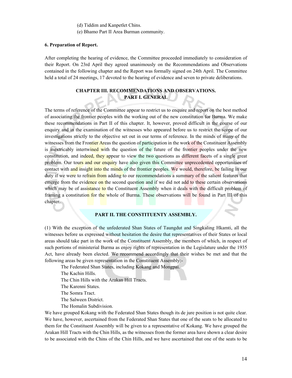(d) Tiddim and Kanpetlet Chins.

(e) Bhamo Part II Area Burman community.

#### **6. Preparation of Report.**

After completing the hearing of evidence, the Committee proceeded immediately to consideration of their Report. On 23rd April they agreed unanimously on the Recommendations and Observations contained in the following chapter and the Report was formally signed on 24th April. The Committee held a total of 24 meetings, 17 devoted to the hearing of evidence and seven to private deliberations.

#### **CHAPTER III. RECOMMENDATIONS AND OBSERVATIONS. PART I. GENERAL**

The terms of reference of the Committee appear to restrict us to enquire and report on the best method of associating the frontier peoples with the working out of the new constitution for Burma. We make these recommendations in Part II of this chapter. It, however, proved difficult in the course of our enquiry and in the examination of the witnesses who appeared before us to restrict the scope of our investigations strictly to the objective set out in our terms of reference. In the minds of many of the witnesses from the Frontier Areas the question of participation in the work of the Constituent Assembly is inextricably intertwined with the question of the future of the frontier peoples under the new constitution, and indeed, they appear to view the two questions as different facets of a single great problem. Our tours and our enquiry have also given this Committee unprecedented opportunities of contact with and insight into the minds of the frontier peoples. We would, therefore, be failing in our duty if we were to refrain from adding to our recommendations a summary of the salient features that emerge from the evidence on the second question and if we did not add to these certain observations which may be of assistance to the Constituent Assembly when it deals with the difficult problem of framing a constitution for the whole of Burma. These observations will be found in Part III of this chapter.

#### **PART II. THE CONSTITUENTY ASSEMBLY.**

(1) With the exception of the unfederated Shan States of Taungdut and Singkaling Hkamti, all the witnesses before us expressed without hesitation the desire that representatives of their States or local areas should take part in the work of the Constituent Assembly, the members of which, in respect of such portions of ministerial Burma as enjoy rights of representation in the Legislature under the 1935 Act, have already been elected. We recommend accordingly that their wishes be met and that the following areas be given representation in the Constituent Assembly:-

The Federated Shan States, including Kokang and Mongpai.

The Kachin Hills.

The Chin Hills with the Arakan Hill Tracts.

The Karenni States.

The Somra Tract.

The Salween District.

The Homalin Subdivision.

We have grouped Kokang with the Federated Shan States though its de jure position is not quite clear. We have, however, ascertained from the Federated Shan States that one of the seats to be allocated to them for the Constituent Assembly will be given to a representative of Kokang. We have grouped the Arakan Hill Tracts with the Chin Hills, as the witnesses from the former area have shown a clear desire to be associated with the Chins of the Chin Hills, and we have ascertained that one of the seats to be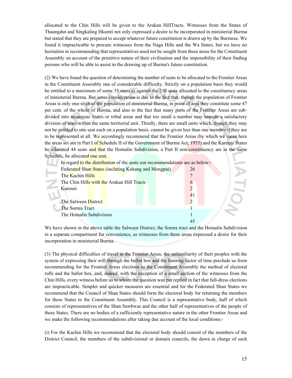allocated to the Chin Hills will be given to the Arakan HillTracts. Witnesses from the States of Thaungdut and Singkaling Hkamti not only expressed a desire to be incorporated in ministerial Burma but stated that they are prepared to accept whatever future constitution is drawn up by the Burmese. We found it impracticable to procure witnesses from the Naga Hills and the Wa States, but we have no hesitation in recommending that representatives need not be sought from these areas for the Constituent Assembly on account of the primitive nature of their civilisation and the impossibility of their finding persons who will be able to assist in the drawing up of Burma's future constitution.

(2) We have found the question of determining the number of seats to be allocated to the Frontier Areas in the Constituent Assembly one of considerable difficulty. Strictly on a population basis they would be entitled to a maximum of some 35 seats as against the 210 seats allocated to the constituency areas of ministerial Burma. But some consideration is due to the fact that, though the population of Frontier Areas is only one-sixth of the population of ministerial Burma, in point of area they constitute some 47 per cent. of the whole of Burma, and also to the fact that many parts of the Frontier Areas are subdivided into numerous States or tribal areas and that too small a number may impede a satisfactory division of seats within the same territorial unit. Thirdly, there are small units which, though they may not be entitled to one seat each on a population basis, cannot be given less than one member if they are to be represented at all. We accordingly recommend that the Frontier Areas (by which we mean here the areas set out in Part I of Schedule II of the Government of Burma Act, 1935) and the Karenni States be allocated 44 seats and that the Homalin Subdivision, a Part II non-constituency are in the same Schedule, be allocated one seat.

|         |                         | In regard to the distribution of the seats our recommendations are as below:- |  |               |  |
|---------|-------------------------|-------------------------------------------------------------------------------|--|---------------|--|
|         |                         | Federated Shan States (incluting Kokang and Mongpai)                          |  | 26            |  |
|         | The Kachin Hills        |                                                                               |  |               |  |
|         |                         | The Chin Hills with the Arakan Hill Tracts                                    |  | $\mathfrak b$ |  |
| Karenni |                         |                                                                               |  |               |  |
|         |                         |                                                                               |  | 41            |  |
|         | The Salween District    |                                                                               |  |               |  |
|         | The Somra Tract         |                                                                               |  |               |  |
|         | The Homalin Subdivision |                                                                               |  |               |  |
|         |                         |                                                                               |  |               |  |

We have shown in the above table the Salween District, the Somra tract and the Homalin Subdivision in a separate compartment for convenience, as witnesses from these areas expressed a desire for their incorporation in ministerial Burma.

(3) The physical difficulties of travel in the Frontier Areas, the unfamiliarity of their peoples with the system of expressing their will through the ballot box and the limiting factor of time preclude us from recommending for the Frontier Areas elections to the Constituent Assembly the method of electoral rolls and the ballot box, and, indeed, with the exception of a small section of the witnesses from the Chin Hills, every witness before us to whom the question was put replied in fact that full-dress elections are impracticable. Simpler and quicker measures are essential and for the Federated Shan States we recommend that the Council of Shan States should form the electoral body for returning the members for these States to the Constituent Assembly. This Council is a representative body, half of which consists of representatives of the Shan Sawbwas and the other half of representatives of the people of these States. There are no bodies of a sufficiently representative nature in the other Frontier Areas and we make the following recommendations after taking due account of the local conditions:-

(i) For the Kachin Hills we recommend that the electoral body should consist of the members of the District Council, the members of the subdivisional or domain councils, the duwa in charge of each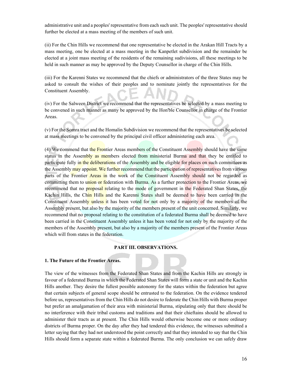administrative unit and a peoples' representative from each such unit. The peoples' representative should further be elected at a mass meeting of the members of such unit.

(ii) For the Chin Hills we recommend that one representative be elected in the Arakan Hill Tracts by a mass meeting, one be elected at a mass meeting in the Kanpetlet subdivision and the remainder be elected at a joint mass meeting of the residents of the remaining sudivisions, all these meetings to be held in such manner as may be approved by the Deputy Counsellor in charge of the Chin Hills.

(iii) For the Karenni States we recommend that the chiefs or administrators of the three States may be asked to consult the wishes of their peoples and to nominate jointly the representatives for the Constituent Assembly.

(iv) For the Salween District we recommend that the representatives be selected by a mass meeting to be convened in such manner as many be approved by the Hon'ble Counsellor in charge of the Frontier Areas.

(v) For the Somra tract and the Homalin Subdivision we recommend that the representatives be selected at mass meetings to be convened by the principal civil officer administering each area.

(4) We commend that the Frontier Areas members of the Constituent Assembly should have the same status in the Assembly as members elected from ministerial Burma and that they be entitled to participate fully in the deliberations of the Assembly and be eligible for places on such committees as the Assembly may appoint. We further recommend that the participation of representatives from various parts of the Frontier Areas in the work of the Constituent Assembly should not be regarded as committing them to union or federation with Burma. As a further protection to the Frontier Areas, we recommend that no proposal relating to the mode of government in the Federated Shan States, the Kachin Hills, the Chin Hills and the Karenni States shall be deemed to have been carried in the Constituent Assembly unless it has been voted for not only by a majority of the members of the Assembly present, but also by the majority of the members present of the unit concerned. Similarly, we recommend that no proposal relating to the constitution of a federated Burma shall be deemed to have been carried in the Constituent Assembly unless it has been voted for not only by the majority of the members of the Assembly present, but also by a majority of the members present of the Frontier Areas which will from states in the federation.

#### **PART III. OBSERVATIONS.**

#### **1. The Future of the Frontier Areas.**

The view of the witnesses from the Federated Shan States and from the Kachin Hills are strongly in favour of a federated Burma in which the Federated Shan States will form a state or unit and the Kachin Hills another. They desire the fullest possible autonomy for the states within the federation but agree that certain subjects of general scope should be entrusted to the federation. On the evidence tendered before us, representatives from the Chin Hills do not desire to federate the Chin Hills with Burma proper but prefer an amalgamation of their area with ministerial Burma, stipulating only that there should be no interference with their tribal customs and traditions and that their chieftains should be allowed to administer their tracts as at present. The Chin Hills would otherwise become one or more ordinary districts of Burma proper. On the day after they had tendered this evidence, the witnesses submitted a letter saying that they had not understood the point correctly and that they intended to say that the Chin Hills should form a separate state within a federated Burma. The only conclusion we can safely draw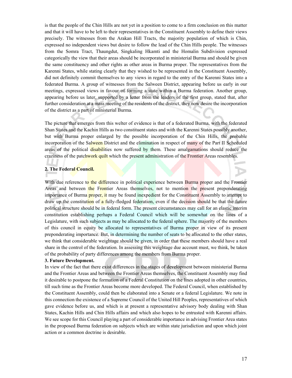is that the people of the Chin Hills are not yet in a position to come to a firm conclusion on this matter and that it will have to be left to their representatives in the Constituent Assembly to define their views precisely. The witnesses from the Arakan Hill Tracts, the majority population of which is Chin, expressed no independent views but desire to follow the lead of the Chin Hills people. The witnesses from the Somra Tract, Thaungdut, Singkaling Hkamti and the Homalin Subdivision expressed categorically the view that their areas should be incorporated in ministerial Burma and should be given the same constituency and other rights as other areas in Burma proper. The representatives from the Karenni States, while stating clearly that they wished to be represented in the Constituent Assembly, did not definitely commit themselves to any views in regard to the entry of the Karenni States into a federated Burma. A group of witnesses from the Salween District, appearing before us early in our meetings, expressed views in favour of forming a state within a Burma federation. Another group, appearing before us later, supported by a letter from the leaders of the first group, stated that, after further consideration at a mass meeting of the residents of the district, they now desire the incorporation of the district as a part of ministerial Burma.

The picture that emerges from this welter of evidence is that of a federated Burma, with the federated Shan States and the Kachin Hills as two constituent states and with the Karenni States possibly another, but with Burma proper enlarged by the possible incorporation of the Chin Hills, the probable incorporation of the Salween District and the elimination in respect of many of the Part II Scheduled areas of the political disabilities now suffered by them. These amalgamations should reduce the craziness of the patchwork quilt which the present administration of the Frontier Areas resembles.

#### **2. The Federal Council.**

With due reference to the difference in political experience between Burma proper and the Frontier Areas and between the Frontier Areas themselves, not to mention the present preponderating importance of Burma **proper, it** may be found inexpedient for the Constituent Assembly to attempt to draw up the constitution of a fully-fledged federation, even if the decision should be that the future political structure should be in federal form. The present circumstances may call for an elastic interim constitution establishing perhaps a Federal Council which will be somewhat on the lines of a Legislature, with such subjects as may be allocated to the federal sphere. The majority of the members of this council in equity be allocated to representatives of Burma proper in view of its present preponderating importance. But, in determining the number of seats to be allocated to the other states, we think that considerable weightage should be given, in order that these members should have a real share in the control of the federation. In assessing this weightage due account must, we think, be taken of the probability of party differences among the members from Burma proper.

#### **3. Future Development.**

In view of the fact that there exist differences in the stages of development between ministerial Burma and the Frontier Areas and between the Frontier Areas themselves, the Constituent Assembly may find it desirable to postpone the formation of a Federal Constitution on the lines adopted in other countries, till such time as the Frontier Areas become more developed. The Federal Council, when established by the Constituent Assembly, could then be elaborated into a Senate or a federal Legislature. We note in this connection the existence of a Supreme Council of the United Hill Peoples, representatives of which gave evidence before us, and which is at present a representative advisory body dealing with Shan States, Kachin Hills and Chin Hills affairs and which also hopes to be entrusted with Karenni affairs. We see scope for this Council playing a part of considerable importance in advising Frontier Area states in the proposed Burma federation on subjects which are within state jurisdiction and upon which joint action or a common doctrine is desirable.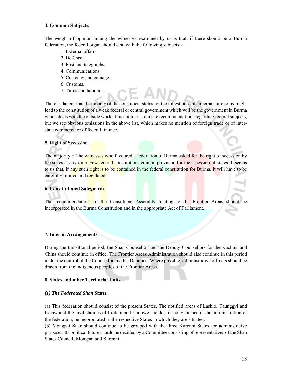#### **4. Common Subjects.**

The weight of opinion among the witnesses examined by us is that, if there should be a Burma federation, the federal organ should deal with the following subjects:-

- 1. External affairs.
- 2. Defence.
- 3. Post and telegraphs.
- 4. Communications.
- 5. Currency and coinage.
- 6. Customs.
- 7. Titles and honours.

There is danger that the anxiety of the constituent states for the fullest possible internal autonomy might lead to the constitution of a weak federal or central government which will be the government in Burma which deals with the outside world. It is not for us to make recommendations regarding federal subjects, but we see obvious omissions in the above list, which makes no mention of foreign trade or of interstate commerce or of federal finance.

#### **5. Right of Secession.**

The majority of the witnesses who favoured a federation of Burma asked for the right of secession by the states at any time. Few federal constitutions contain provision for the secession of states. It seems to us that, if any such right is to be contained in the federal constitution for Burma, it will have to be carefully limited and regulated.

#### **6. Constitutional Safeguards.**

The recommendations of the Constituent Assembly relating to the Frontier Areas should be incorporated in the Burma Constitution and in the appropriate Act of Parliament.

#### **7. Interim Arrangements.**

During the transitional period, the Shan Counsellor and the Deputy Counsellors for the Kachins and Chins should continue in office. The Frontier Areas Administration should also continue in this period under the control of the Counsellor and his Deputies. Where possible, administrative officers should be drawn from the indigenous peoples of the Frontier Areas.

#### **8. States and other Territorial Units.**

#### *(1) The Federated Shan States.*

(a) This federation should consist of the present States. The notified areas of Lashio, Taunggyi and Kalaw and the civil stations of Loilem and Loimwe should, for convenience in the administration of the federation, be incorporated in the respective States in which they are situated.

(b) Mongpai State should continue to be grouped with the three Karenni States for administrative purposes. Its political future should be decided by a Committee consisting of representatives of the Shan States Council, Mongpai and Karenni.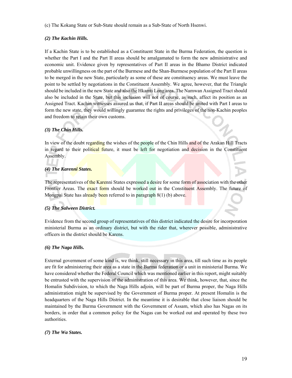(c) The Kokang State or Sub-State should remain as a Sub-State of North Hsenwi.

#### *(2) The Kachin Hills.*

If a Kachin State is to be established as a Constituent State in the Burma Federation, the question is whether the Part I and the Part II areas should be amalgamated to form the new administrative and economic unit. Evidence given by representatives of Part II areas in the Bhamo District indicated probable unwillingness on the part of the Burmese and the Shan-Burmese population of the Part II areas to be merged in the new State, particularly as some of these are constituency areas. We must leave the point to be settled by negotiations in the Constituent Assembly. We agree, however, that the Triangle should be included in the new State and also the Hkamti Long area. The Namwan Assigned Tract should also be included in the State, but this inclusion will not of course, as such, affect its position as an Assigned Tract. Kachin witnesses assured us that, if Part II areas should be united with Part I areas to form the new state, they would willingly guarantee the rights and privileges of the non-Kachin peoples and freedom to retain their own customs.

### *(3) The Chin Hills.*

In view of the doubt regarding the wishes of the people of the Chin Hills and of the Arakan Hill Tracts in regard to their political future, it must be left for negotiation and decision in the Constituent Assembly.

#### *(4) The Karenni States.*

The representatives of the Karenni States expressed a desire for some form of association with the other Frontier Areas. The exact form should be worked out in the Constituent Assembly. The future of Mongpai State has already been referred to in paragraph 8(1) (b) above.

#### *(5) The Salween District.*

Evidence from the second group of representatives of this district indicated the desire for incorporation ministerial Burma as an ordinary district, but with the rider that, wherever possible, administrative officers in the district should be Karens.

#### *(6) The Naga Hills.*

External government of some kind is, we think, still necessary in this area, till such time as its people are fit for administering their area as a state in the Burma federation or a unit in ministerial Burma. We have considered whether the Federal Council which was mentioned earlier in this report, might suitably be entrusted with the supervision of the administration of this area. We think, however, that, since the Homalin Subdivision, to which the Naga Hills adjoin, will be part of Burma proper, the Naga Hills administration might be supervised by the Government of Burma proper. At present Homalin is the headquarters of the Naga Hills District. In the meantime it is desirable that close liaison should be maintained by the Burma Government with the Government of Assam, which also has Nagas on its borders, in order that a common policy for the Nagas can be worked out and operated by these two authorities.

#### *(7) The Wa States.*